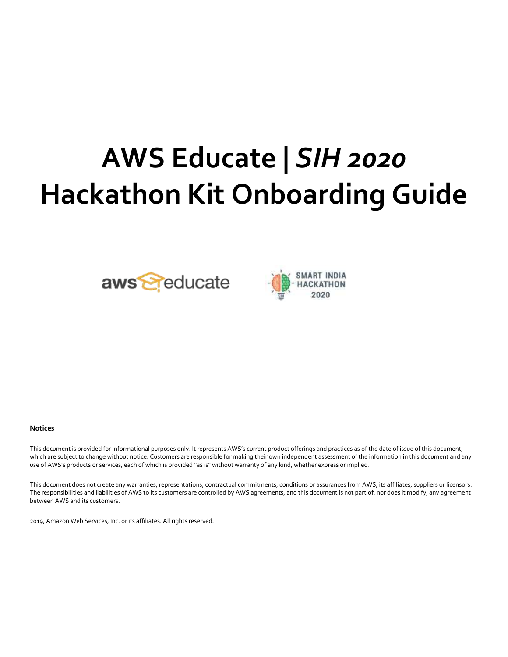# **AWS Educate |** *SIH 2020* **Hackathon Kit Onboarding Guide**





#### **Notices**

This document is provided for informational purposes only. It represents AWS's current product offerings and practices as of the date of issue of this document, which are subject to change without notice. Customers are responsible for making their own independent assessment of the information in this document and any use of AWS's products or services, each of which is provided "as is" without warranty of any kind, whether express or implied.

This document does not create any warranties, representations, contractual commitments, conditions or assurances from AWS, its affiliates, suppliers or licensors. The responsibilities and liabilities of AWS to its customers are controlled by AWS agreements, and this document is not part of, nor does it modify, any agreement between AWS and its customers.

2019, Amazon Web Services, Inc. or its affiliates. All rights reserved.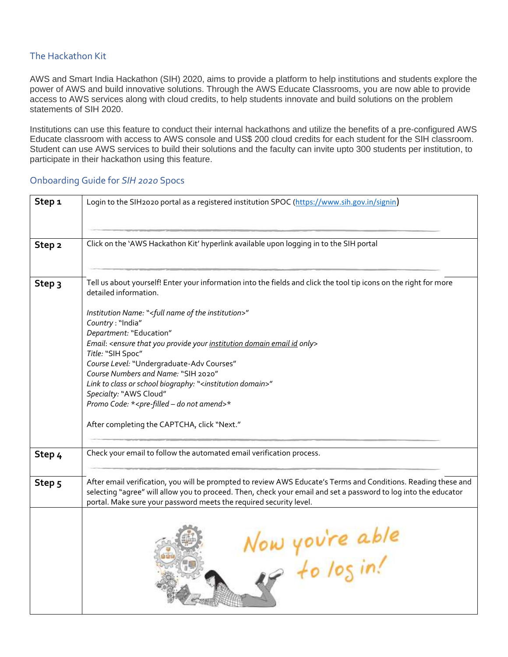#### The Hackathon Kit

AWS and Smart India Hackathon (SIH) 2020, aims to provide a platform to help institutions and students explore the power of AWS and build innovative solutions. Through the AWS Educate Classrooms, you are now able to provide access to AWS services along with cloud credits, to help students innovate and build solutions on the problem statements of SIH 2020.

Institutions can use this feature to conduct their internal hackathons and utilize the benefits of a pre-configured AWS Educate classroom with access to AWS console and US\$ 200 cloud credits for each student for the SIH classroom. Student can use AWS services to build their solutions and the faculty can invite upto 300 students per institution, to participate in their hackathon using this feature.

## **Step 1** Login to the SIH2020 portal as a registered institution SPOC (<https://www.sih.gov.in/signin>) **Step 2** | Click on the 'AWS Hackathon Kit' hyperlink available upon logging in to the SIH portal **Step 3** Tell us about yourself! Enter your information into the fields and click the tool tip icons on the right for more detailed information. *Institution Name:* "<*full name of the institution*>" *Country* : "India" *Department:* "Education" *Email*: <*ensure that you provide your institution domain email id only> Title:* "SIH Spoc" *Course Level:* "Undergraduate-Adv Courses" *Course Numbers and Name:* "SIH 2020" *Link to class or school biography:* "<*institution domain*>" *Specialty:* "AWS Cloud" *Promo Code:* \*<*pre-filled – do not amend*>\* After completing the CAPTCHA, click "Next." **Step 4** Check your email to follow the automated email verification process. **Step 5** After email verification, you will be prompted to review AWS Educate's Terms and Conditions. Reading these and selecting "agree" will allow you to proceed. Then, check your email and set a password to log into the educator portal. Make sure your password meets the required security level. Now you're able<br>es to log in!

### Onboarding Guide for *SIH 2020* Spocs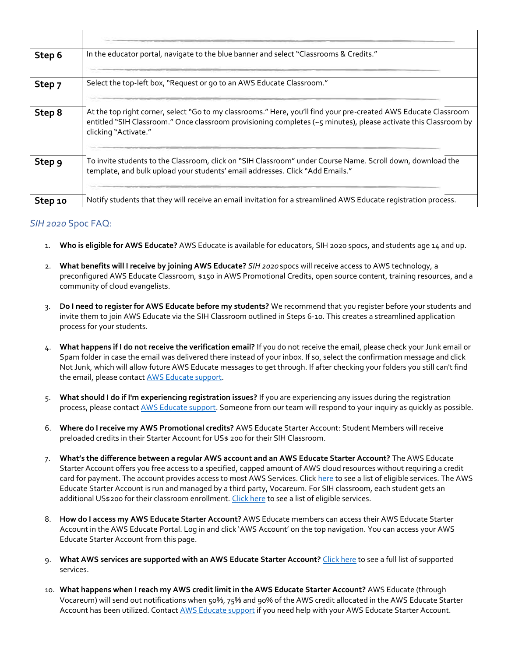| Step 6  | In the educator portal, navigate to the blue banner and select "Classrooms & Credits."                                                                                                                                                                     |
|---------|------------------------------------------------------------------------------------------------------------------------------------------------------------------------------------------------------------------------------------------------------------|
| Step 7  | Select the top-left box, "Request or go to an AWS Educate Classroom."                                                                                                                                                                                      |
| Step 8  | At the top right corner, select "Go to my classrooms." Here, you'll find your pre-created AWS Educate Classroom<br>entitled "SIH Classroom." Once classroom provisioning completes (~5 minutes), please activate this Classroom by<br>clicking "Activate." |
| Step 9  | To invite students to the Classroom, click on "SIH Classroom" under Course Name. Scroll down, download the<br>template, and bulk upload your students' email addresses. Click "Add Emails."                                                                |
| Step 10 | Notify students that they will receive an email invitation for a streamlined AWS Educate registration process.                                                                                                                                             |

### *SIH 2020* Spoc FAQ:

- 1. **Who is eligible for AWS Educate?** AWS Educate is available for educators, SIH 2020 spocs, and students age 14 and up.
- 2. **What benefits will I receive by joining AWS Educate?** *SIH 2020* spocs will receive access to AWS technology, a preconfigured AWS Educate Classroom, \$150 in AWS Promotional Credits, open source content, training resources, and a community of cloud evangelists.
- 3. **Do I need to register for AWS Educate before my students?** We recommend that you register before your students and invite them to join AWS Educate via the SIH Classroom outlined in Steps 6-10. This creates a streamlined application process for your students.
- 4. **What happens if I do not receive the verification email?** If you do not receive the email, please check your Junk email or Spam folder in case the email was delivered there instead of your inbox. If so, select the confirmation message and click Not Junk, which will allow future AWS Educate messages to get through. If after checking your folders you still can't find the email, please contact [AWS Educate support.](https://aws.amazon.com/education/awseducate/contact-us/)
- 5. **What should I do if I'm experiencing registration issues?** If you are experiencing any issues during the registration process, please contact [AWS Educate support.](https://aws.amazon.com/education/awseducate/contact-us/) Someone from our team will respond to your inquiry as quickly as possible.
- 6. **Where do I receive my AWS Promotional credits?** AWS Educate Starter Account: Student Members will receive preloaded credits in their Starter Account for US\$ 200 for their SIH Classroom.
- 7. **What's the difference between a regular AWS account and an AWS Educate Starter Account?** The AWS Educate Starter Account offers you free access to a specified, capped amount of AWS cloud resources without requiring a credit card for payment. The account provides access to most AWS Services. Clic[k here](https://s3.amazonaws.com/awseducate-starter-account-services/AWS_Educate_Starter_Accounts_and_AWS_Services.pdf) to see a list of eligible services. The AWS Educate Starter Account is run and managed by a third party, Vocareum. For SIH classroom, each student gets an additional US\$200 for their classroom enrollment. [Click here](https://s3.amazonaws.com/awseducate-starter-account-services/AWS_Educate_Starter_Accounts_and_AWS_Services.pdf) to see a list of eligible services.
- 8. **How do I access my AWS Educate Starter Account?** AWS Educate members can access their AWS Educate Starter Account in the AWS Educate Portal. Log in and click 'AWS Account' on the top navigation. You can access your AWS Educate Starter Account from this page.
- 9. **What AWS services are supported with an AWS Educate Starter Account?** [Click here](https://awseducate-starter-account-services.s3.amazonaws.com/AWS_Educate_Starter_Account_Services_Supported.pdf) to see a full list of supported services.
- 10. **What happens when I reach my AWS credit limit in the AWS Educate Starter Account?** AWS Educate (through Vocareum) will send out notifications when 50%, 75% and 90% of the AWS credit allocated in the AWS Educate Starter Account has been utilized. Contact [AWS Educate support](https://aws.amazon.com/education/awseducate/contact-us/) if you need help with your AWS Educate Starter Account.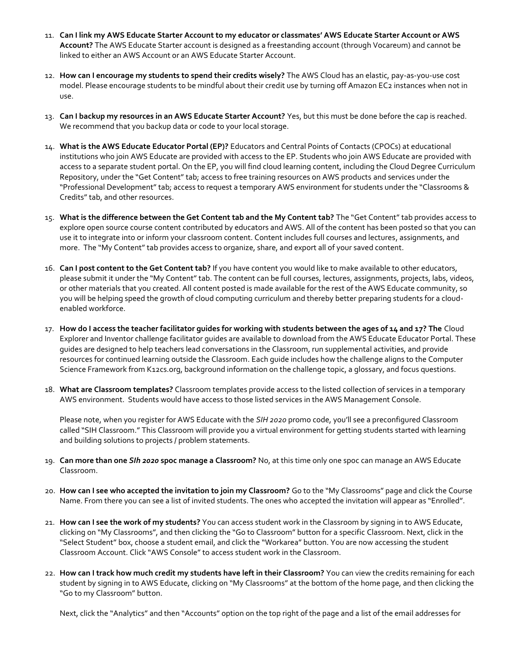- 11. **Can I link my AWS Educate Starter Account to my educator or classmates' AWS Educate Starter Account or AWS Account?** The AWS Educate Starter account is designed as a freestanding account (through Vocareum) and cannot be linked to either an AWS Account or an AWS Educate Starter Account.
- 12. **How can I encourage my students to spend their credits wisely?** The AWS Cloud has an elastic, pay-as-you-use cost model. Please encourage students to be mindful about their credit use by turning off Amazon EC2 instances when not in use.
- 13. **Can I backup my resources in an AWS Educate Starter Account?** Yes, but this must be done before the cap is reached. We recommend that you backup data or code to your local storage.
- 14. **What is the AWS Educate Educator Portal (EP)?** Educators and Central Points of Contacts (CPOCs) at educational institutions who join AWS Educate are provided with access to the EP. Students who join AWS Educate are provided with access to a separate student portal. On the EP, you will find cloud learning content, including the Cloud Degree Curriculum Repository, under the "Get Content" tab; access to free training resources on AWS products and services under the "Professional Development" tab; access to request a temporary AWS environment for students under the "Classrooms & Credits" tab, and other resources.
- 15. **What is the difference between the Get Content tab and the My Content tab?** The "Get Content" tab provides access to explore open source course content contributed by educators and AWS. All of the content has been posted so that you can use it to integrate into or inform your classroom content. Content includes full courses and lectures, assignments, and more. The "My Content" tab provides access to organize, share, and export all of your saved content.
- 16. **Can I post content to the Get Content tab?** If you have content you would like to make available to other educators, please submit it under the "My Content" tab. The content can be full courses, lectures, assignments, projects, labs, videos, or other materials that you created. All content posted is made available for the rest of the AWS Educate community, so you will be helping speed the growth of cloud computing curriculum and thereby better preparing students for a cloudenabled workforce.
- 17. **How do I access the teacher facilitator guides for working with students between the ages of 14 and 17? The** Cloud Explorer and Inventor challenge facilitator guides are available to download from the AWS Educate Educator Portal. These guides are designed to help teachers lead conversations in the Classroom, run supplemental activities, and provide resources for continued learning outside the Classroom. Each guide includes how the challenge aligns to the Computer Science Framework from K12cs.org, background information on the challenge topic, a glossary, and focus questions.
- 18. **What are Classroom templates?** Classroom templates provide access to the listed collection of services in a temporary AWS environment. Students would have access to those listed services in the AWS Management Console.

Please note, when you register for AWS Educate with the *SIH 2020* promo code, you'll see a preconfigured Classroom called "SIH Classroom." This Classroom will provide you a virtual environment for getting students started with learning and building solutions to projects / problem statements.

- 19. **Can more than one** *SIh 2020* **spoc manage a Classroom?** No, at this time only one spoc can manage an AWS Educate Classroom.
- 20. **How can I see who accepted the invitation to join my Classroom?** Go to the "My Classrooms" page and click the Course Name. From there you can see a list of invited students. The ones who accepted the invitation will appear as "Enrolled".
- 21. **How can I see the work of my students?** You can access student work in the Classroom by signing in to AWS Educate, clicking on "My Classrooms", and then clicking the "Go to Classroom" button for a specific Classroom. Next, click in the "Select Student" box, choose a student email, and click the "Workarea" button. You are now accessing the student Classroom Account. Click "AWS Console" to access student work in the Classroom.
- 22. **How can I track how much credit my students have left in their Classroom?** You can view the credits remaining for each student by signing in to AWS Educate, clicking on "My Classrooms" at the bottom of the home page, and then clicking the "Go to my Classroom" button.

Next, click the "Analytics" and then "Accounts" option on the top right of the page and a list of the email addresses for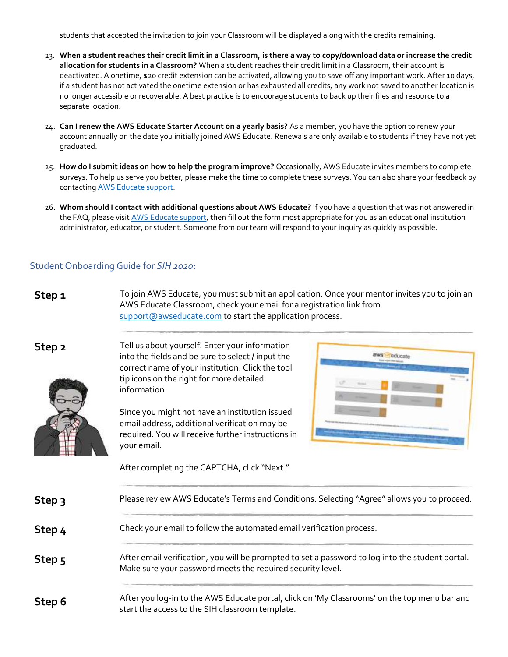students that accepted the invitation to join your Classroom will be displayed along with the credits remaining.

- 23. **When a student reaches their credit limit in a Classroom, is there a way to copy/download data or increase the credit allocation for students in a Classroom?** When a student reaches their credit limit in a Classroom, their account is deactivated. A onetime, \$20 credit extension can be activated, allowing you to save off any important work. After 10 days, if a student has not activated the onetime extension or has exhausted all credits, any work not saved to another location is no longer accessible or recoverable. A best practice is to encourage students to back up their files and resource to a separate location.
- 24. **Can I renew the AWS Educate Starter Account on a yearly basis?** As a member, you have the option to renew your account annually on the date you initially joined AWS Educate. Renewals are only available to students if they have not yet graduated.
- 25. **How do I submit ideas on how to help the program improve?** Occasionally, AWS Educate invites members to complete surveys. To help us serve you better, please make the time to complete these surveys. You can also share your feedback by contactin[g AWS Educate support.](https://aws.amazon.com/education/awseducate/contact-us/)
- 26. **Whom should I contact with additional questions about AWS Educate?** If you have a question that was not answered in the FAQ, please visi[t AWS Educate support,](https://aws.amazon.com/education/awseducate/contact-us/) then fill out the form most appropriate for you as an educational institution administrator, educator, or student. Someone from our team will respond to your inquiry as quickly as possible.

#### Student Onboarding Guide for *SIH 2020*:

**Step 1** To join AWS Educate, you must submit an application. Once your mentor invites you to join an AWS Educate Classroom, check your email for a registration link from [support@awseducate.com](mailto:support@awseducate.com) to start the application process.



**Step 2** Tell us about yourself! Enter your information into the fields and be sure to select / input the correct name of your institution. Click the tool tip icons on the right for more detailed information.

> Since you might not have an institution issued email address, additional verification may be required. You will receive further instructions in your email.

After completing the CAPTCHA, click "Next."



| Step <sub>3</sub> | Please review AWS Educate's Terms and Conditions. Selecting "Agree" allows you to proceed.                                                                     |
|-------------------|----------------------------------------------------------------------------------------------------------------------------------------------------------------|
| Step <sub>4</sub> | Check your email to follow the automated email verification process.                                                                                           |
| Step 5            | After email verification, you will be prompted to set a password to log into the student portal.<br>Make sure your password meets the required security level. |
| Step 6            | After you log-in to the AWS Educate portal, click on 'My Classrooms' on the top menu bar and<br>start the access to the SIH classroom template.                |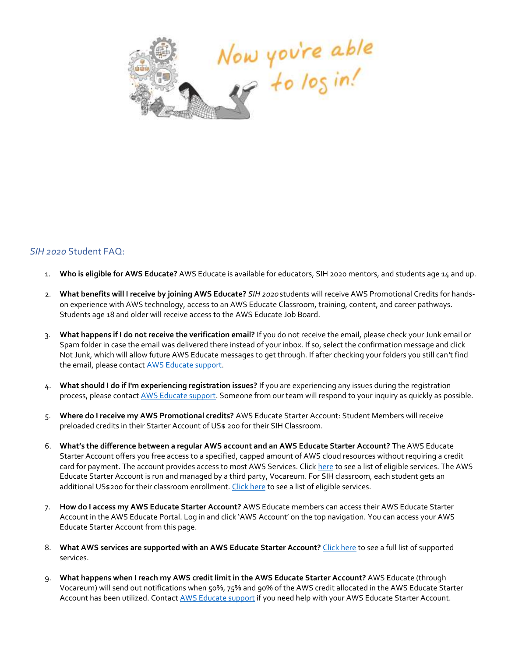

### *SIH 2020* Student FAQ:

- 1. **Who is eligible for AWS Educate?** AWS Educate is available for educators, SIH 2020 mentors, and students age 14 and up.
- 2. **What benefits will I receive by joining AWS Educate?** *SIH 2020* students will receive AWS Promotional Credits for handson experience with AWS technology, access to an AWS Educate Classroom, training, content, and career pathways. Students age 18 and older will receive access to the AWS Educate Job Board.
- 3. **What happens if I do not receive the verification email?** If you do not receive the email, please check your Junk email or Spam folder in case the email was delivered there instead of your inbox. If so, select the confirmation message and click Not Junk, which will allow future AWS Educate messages to get through. If after checking your folders you still can't find the email, please contact [AWS Educate support.](https://aws.amazon.com/education/awseducate/contact-us/)
- 4. **What should I do if I'm experiencing registration issues?** If you are experiencing any issues during the registration process, please contact [AWS Educate support.](https://aws.amazon.com/education/awseducate/contact-us/) Someone from our team will respond to your inquiry as quickly as possible.
- 5. **Where do I receive my AWS Promotional credits?** AWS Educate Starter Account: Student Members will receive preloaded credits in their Starter Account of US\$ 200 for their SIH Classroom.
- 6. **What's the difference between a regular AWS account and an AWS Educate Starter Account?** The AWS Educate Starter Account offers you free access to a specified, capped amount of AWS cloud resources without requiring a credit card for payment. The account provides access to most AWS Services. Clic[k here](https://s3.amazonaws.com/awseducate-starter-account-services/AWS_Educate_Starter_Accounts_and_AWS_Services.pdf) to see a list of eligible services. The AWS Educate Starter Account is run and managed by a third party, Vocareum. For SIH classroom, each student gets an additional US\$200 for their classroom enrollment. [Click here](https://s3.amazonaws.com/awseducate-starter-account-services/AWS_Educate_Starter_Accounts_and_AWS_Services.pdf) to see a list of eligible services.
- 7. **How do I access my AWS Educate Starter Account?** AWS Educate members can access their AWS Educate Starter Account in the AWS Educate Portal. Log in and click 'AWS Account' on the top navigation. You can access your AWS Educate Starter Account from this page.
- 8. **What AWS services are supported with an AWS Educate Starter Account?** [Click here](https://awseducate-starter-account-services.s3.amazonaws.com/AWS_Educate_Starter_Account_Services_Supported.pdf) to see a full list of supported services.
- 9. **What happens when I reach my AWS credit limit in the AWS Educate Starter Account?** AWS Educate (through Vocareum) will send out notifications when 50%, 75% and 90% of the AWS credit allocated in the AWS Educate Starter Account has been utilized. Contact AWS [Educate support](https://aws.amazon.com/education/awseducate/contact-us/) if you need help with your AWS Educate Starter Account.